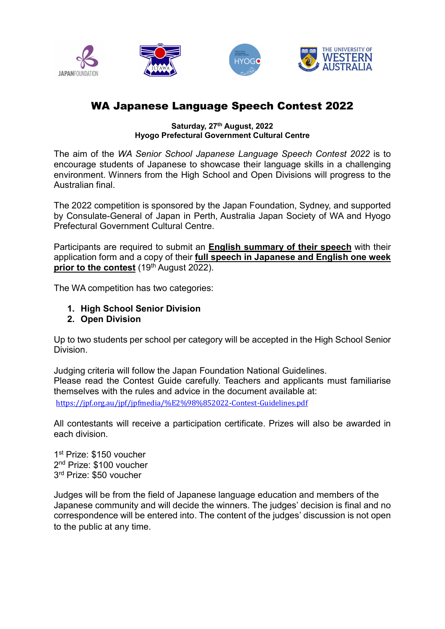

# WA Japanese Language Speech Contest 2022

#### Saturday, 27<sup>th</sup> August, 2022 Hyogo Prefectural Government Cultural Centre

The aim of the WA Senior School Japanese Language Speech Contest 2022 is to encourage students of Japanese to showcase their language skills in a challenging environment. Winners from the High School and Open Divisions will progress to the Australian final.

The 2022 competition is sponsored by the Japan Foundation, Sydney, and supported by Consulate-General of Japan in Perth, Australia Japan Society of WA and Hyogo Prefectural Government Cultural Centre.

Participants are required to submit an **English summary of their speech** with their application form and a copy of their full speech in Japanese and English one week prior to the contest  $(19<sup>th</sup>$  August 2022).

The WA competition has two categories:

- 1. High School Senior Division
- 2. Open Division

Up to two students per school per category will be accepted in the High School Senior Division.

Judging criteria will follow the Japan Foundation National Guidelines. Please read the Contest Guide carefully. Teachers and applicants must familiarise themselves with the rules and advice in the document available at: https://jpf.org.au/jpf/jpfmedia/%E2%98%852022-Contest-Guidelines.pdf

All contestants will receive a participation certificate. Prizes will also be awarded in each division.

1st Prize: \$150 voucher 2<sup>nd</sup> Prize: \$100 voucher 3<sup>rd</sup> Prize: \$50 voucher

Judges will be from the field of Japanese language education and members of the Japanese community and will decide the winners. The judges' decision is final and no correspondence will be entered into. The content of the judges' discussion is not open to the public at any time.